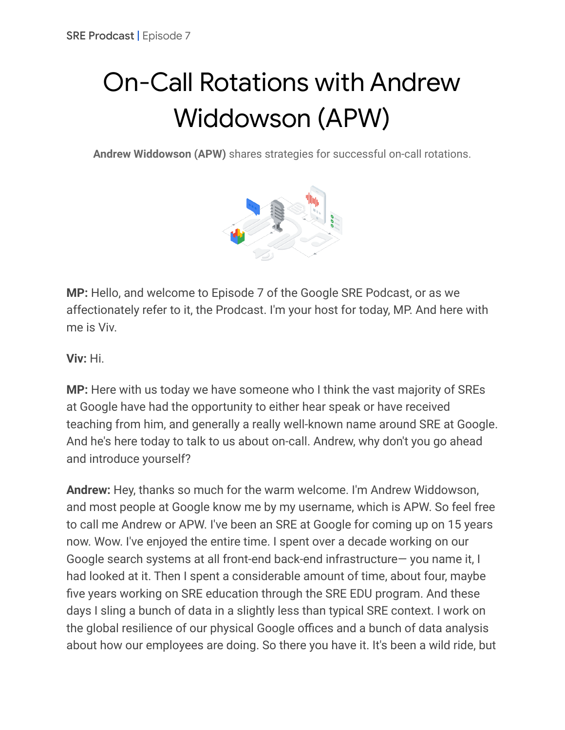## On-Call Rotations with Andrew Widdowson (APW)

**Andrew Widdowson (APW)** shares strategies for successful on-call rotations.



**MP:** Hello, and welcome to Episode 7 of the Google SRE Podcast, or as we affectionately refer to it, the Prodcast. I'm your host for today, MP. And here with me is Viv.

**Viv:** Hi.

**MP:** Here with us today we have someone who I think the vast majority of SREs at Google have had the opportunity to either hear speak or have received teaching from him, and generally a really well-known name around SRE at Google. And he's here today to talk to us about on-call. Andrew, why don't you go ahead and introduce yourself?

**Andrew:** Hey, thanks so much for the warm welcome. I'm Andrew Widdowson, and most people at Google know me by my username, which is APW. So feel free to call me Andrew or APW. I've been an SRE at Google for coming up on 15 years now. Wow. I've enjoyed the entire time. I spent over a decade working on our Google search systems at all front-end back-end infrastructure— you name it, I had looked at it. Then I spent a considerable amount of time, about four, maybe five years working on SRE education through the SRE EDU program. And these days I sling a bunch of data in a slightly less than typical SRE context. I work on the global resilience of our physical Google offices and a bunch of data analysis about how our employees are doing. So there you have it. It's been a wild ride, but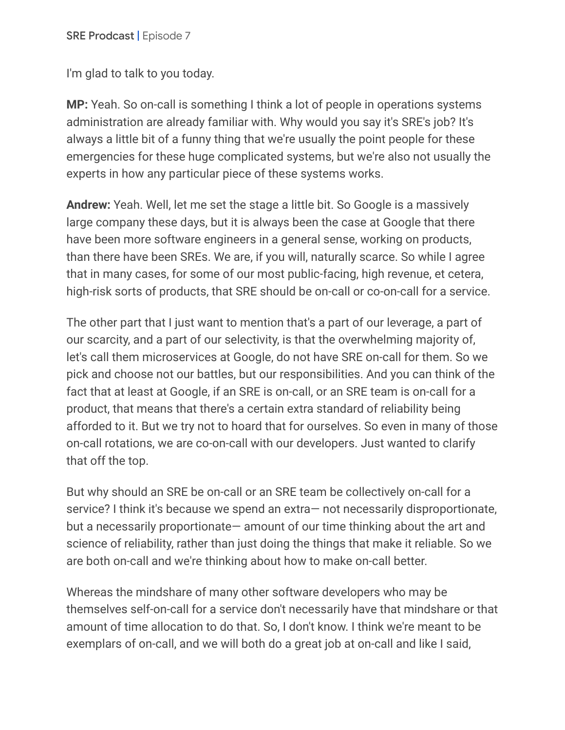I'm glad to talk to you today.

**MP:** Yeah. So on-call is something I think a lot of people in operations systems administration are already familiar with. Why would you say it's SRE's job? It's always a little bit of a funny thing that we're usually the point people for these emergencies for these huge complicated systems, but we're also not usually the experts in how any particular piece of these systems works.

**Andrew:** Yeah. Well, let me set the stage a little bit. So Google is a massively large company these days, but it is always been the case at Google that there have been more software engineers in a general sense, working on products, than there have been SREs. We are, if you will, naturally scarce. So while I agree that in many cases, for some of our most public-facing, high revenue, et cetera, high-risk sorts of products, that SRE should be on-call or co-on-call for a service.

The other part that I just want to mention that's a part of our leverage, a part of our scarcity, and a part of our selectivity, is that the overwhelming majority of, let's call them microservices at Google, do not have SRE on-call for them. So we pick and choose not our battles, but our responsibilities. And you can think of the fact that at least at Google, if an SRE is on-call, or an SRE team is on-call for a product, that means that there's a certain extra standard of reliability being afforded to it. But we try not to hoard that for ourselves. So even in many of those on-call rotations, we are co-on-call with our developers. Just wanted to clarify that off the top.

But why should an SRE be on-call or an SRE team be collectively on-call for a service? I think it's because we spend an extra— not necessarily disproportionate, but a necessarily proportionate— amount of our time thinking about the art and science of reliability, rather than just doing the things that make it reliable. So we are both on-call and we're thinking about how to make on-call better.

Whereas the mindshare of many other software developers who may be themselves self-on-call for a service don't necessarily have that mindshare or that amount of time allocation to do that. So, I don't know. I think we're meant to be exemplars of on-call, and we will both do a great job at on-call and like I said,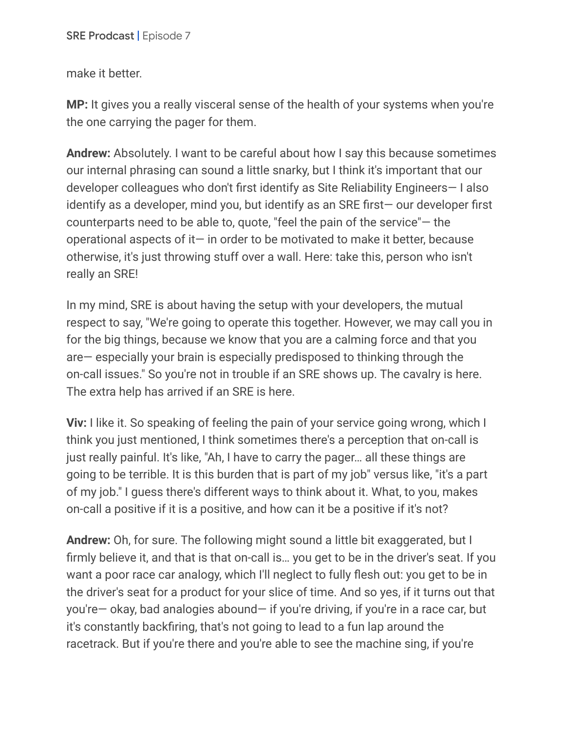make it better.

**MP:** It gives you a really visceral sense of the health of your systems when you're the one carrying the pager for them.

**Andrew:** Absolutely. I want to be careful about how I say this because sometimes our internal phrasing can sound a little snarky, but I think it's important that our developer colleagues who don't first identify as Site Reliability Engineers— I also identify as a developer, mind you, but identify as an SRE first— our developer first counterparts need to be able to, quote, "feel the pain of the service"— the operational aspects of it $-$  in order to be motivated to make it better, because otherwise, it's just throwing stuff over a wall. Here: take this, person who isn't really an SRE!

In my mind, SRE is about having the setup with your developers, the mutual respect to say, "We're going to operate this together. However, we may call you in for the big things, because we know that you are a calming force and that you are— especially your brain is especially predisposed to thinking through the on-call issues." So you're not in trouble if an SRE shows up. The cavalry is here. The extra help has arrived if an SRE is here.

**Viv:** I like it. So speaking of feeling the pain of your service going wrong, which I think you just mentioned, I think sometimes there's a perception that on-call is just really painful. It's like, "Ah, I have to carry the pager… all these things are going to be terrible. It is this burden that is part of my job" versus like, "it's a part of my job." I guess there's different ways to think about it. What, to you, makes on-call a positive if it is a positive, and how can it be a positive if it's not?

**Andrew:** Oh, for sure. The following might sound a little bit exaggerated, but I firmly believe it, and that is that on-call is… you get to be in the driver's seat. If you want a poor race car analogy, which I'll neglect to fully flesh out: you get to be in the driver's seat for a product for your slice of time. And so yes, if it turns out that you're— okay, bad analogies abound— if you're driving, if you're in a race car, but it's constantly backfiring, that's not going to lead to a fun lap around the racetrack. But if you're there and you're able to see the machine sing, if you're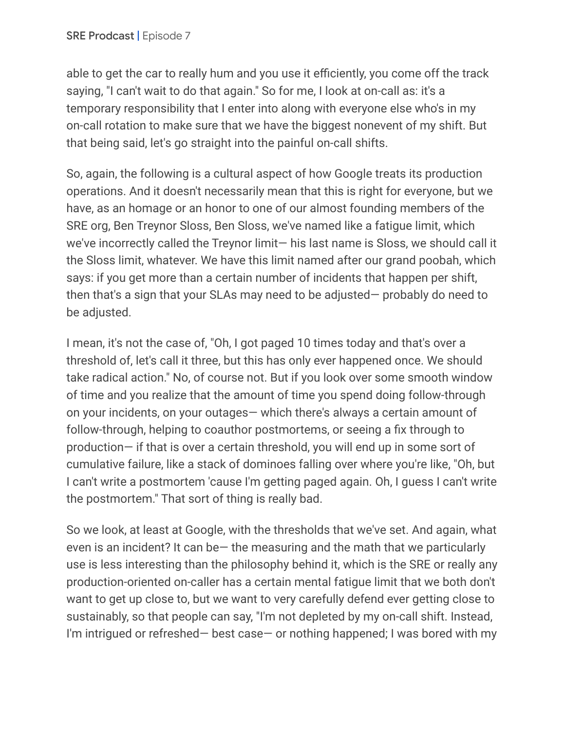able to get the car to really hum and you use it efficiently, you come off the track saying, "I can't wait to do that again." So for me, I look at on-call as: it's a temporary responsibility that I enter into along with everyone else who's in my on-call rotation to make sure that we have the biggest nonevent of my shift. But that being said, let's go straight into the painful on-call shifts.

So, again, the following is a cultural aspect of how Google treats its production operations. And it doesn't necessarily mean that this is right for everyone, but we have, as an homage or an honor to one of our almost founding members of the SRE org, Ben Treynor Sloss, Ben Sloss, we've named like a fatigue limit, which we've incorrectly called the Treynor limit— his last name is Sloss, we should call it the Sloss limit, whatever. We have this limit named after our grand poobah, which says: if you get more than a certain number of incidents that happen per shift, then that's a sign that your SLAs may need to be adjusted— probably do need to be adjusted.

I mean, it's not the case of, "Oh, I got paged 10 times today and that's over a threshold of, let's call it three, but this has only ever happened once. We should take radical action." No, of course not. But if you look over some smooth window of time and you realize that the amount of time you spend doing follow-through on your incidents, on your outages— which there's always a certain amount of follow-through, helping to coauthor postmortems, or seeing a fix through to production— if that is over a certain threshold, you will end up in some sort of cumulative failure, like a stack of dominoes falling over where you're like, "Oh, but I can't write a postmortem 'cause I'm getting paged again. Oh, I guess I can't write the postmortem." That sort of thing is really bad.

So we look, at least at Google, with the thresholds that we've set. And again, what even is an incident? It can be— the measuring and the math that we particularly use is less interesting than the philosophy behind it, which is the SRE or really any production-oriented on-caller has a certain mental fatigue limit that we both don't want to get up close to, but we want to very carefully defend ever getting close to sustainably, so that people can say, "I'm not depleted by my on-call shift. Instead, I'm intrigued or refreshed— best case— or nothing happened; I was bored with my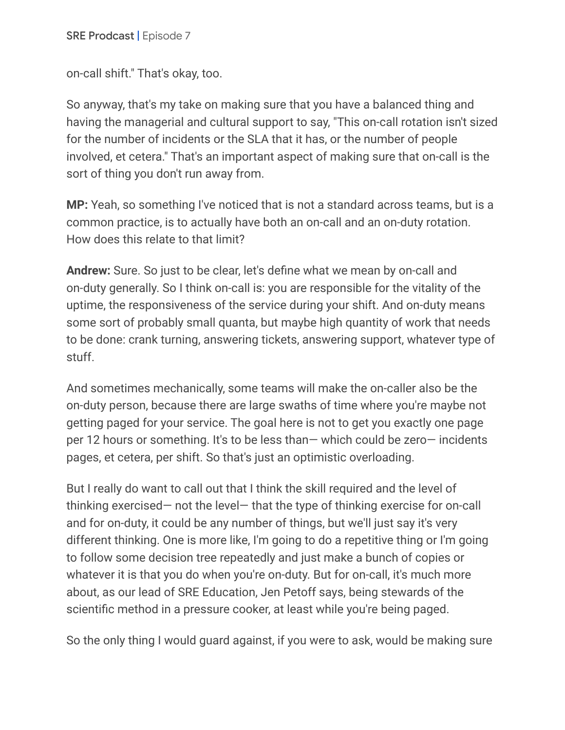on-call shift." That's okay, too.

So anyway, that's my take on making sure that you have a balanced thing and having the managerial and cultural support to say, "This on-call rotation isn't sized for the number of incidents or the SLA that it has, or the number of people involved, et cetera." That's an important aspect of making sure that on-call is the sort of thing you don't run away from.

**MP:** Yeah, so something I've noticed that is not a standard across teams, but is a common practice, is to actually have both an on-call and an on-duty rotation. How does this relate to that limit?

**Andrew:** Sure. So just to be clear, let's define what we mean by on-call and on-duty generally. So I think on-call is: you are responsible for the vitality of the uptime, the responsiveness of the service during your shift. And on-duty means some sort of probably small quanta, but maybe high quantity of work that needs to be done: crank turning, answering tickets, answering support, whatever type of stuff.

And sometimes mechanically, some teams will make the on-caller also be the on-duty person, because there are large swaths of time where you're maybe not getting paged for your service. The goal here is not to get you exactly one page per 12 hours or something. It's to be less than— which could be zero— incidents pages, et cetera, per shift. So that's just an optimistic overloading.

But I really do want to call out that I think the skill required and the level of thinking exercised— not the level— that the type of thinking exercise for on-call and for on-duty, it could be any number of things, but we'll just say it's very different thinking. One is more like, I'm going to do a repetitive thing or I'm going to follow some decision tree repeatedly and just make a bunch of copies or whatever it is that you do when you're on-duty. But for on-call, it's much more about, as our lead of SRE Education, Jen Petoff says, being stewards of the scientific method in a pressure cooker, at least while you're being paged.

So the only thing I would guard against, if you were to ask, would be making sure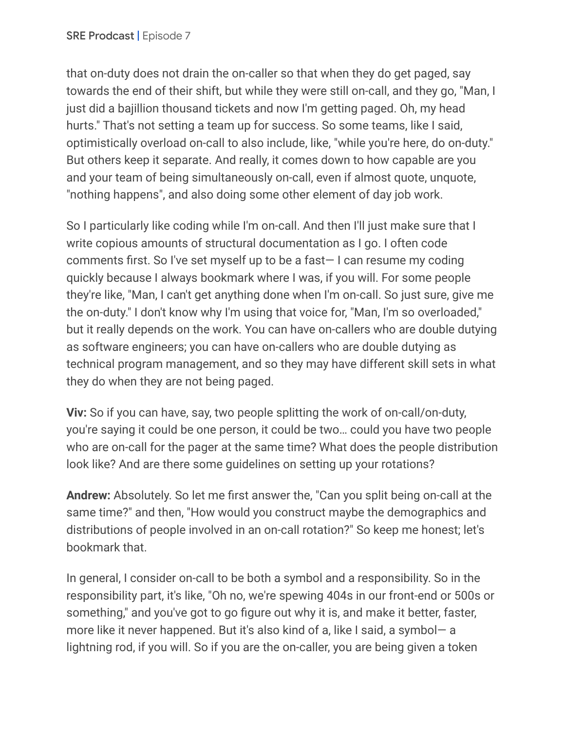that on-duty does not drain the on-caller so that when they do get paged, say towards the end of their shift, but while they were still on-call, and they go, "Man, I just did a bajillion thousand tickets and now I'm getting paged. Oh, my head hurts." That's not setting a team up for success. So some teams, like I said, optimistically overload on-call to also include, like, "while you're here, do on-duty." But others keep it separate. And really, it comes down to how capable are you and your team of being simultaneously on-call, even if almost quote, unquote, "nothing happens", and also doing some other element of day job work.

So I particularly like coding while I'm on-call. And then I'll just make sure that I write copious amounts of structural documentation as I go. I often code comments first. So I've set myself up to be a fast— I can resume my coding quickly because I always bookmark where I was, if you will. For some people they're like, "Man, I can't get anything done when I'm on-call. So just sure, give me the on-duty." I don't know why I'm using that voice for, "Man, I'm so overloaded," but it really depends on the work. You can have on-callers who are double dutying as software engineers; you can have on-callers who are double dutying as technical program management, and so they may have different skill sets in what they do when they are not being paged.

**Viv:** So if you can have, say, two people splitting the work of on-call/on-duty, you're saying it could be one person, it could be two… could you have two people who are on-call for the pager at the same time? What does the people distribution look like? And are there some guidelines on setting up your rotations?

**Andrew:** Absolutely. So let me first answer the, "Can you split being on-call at the same time?" and then, "How would you construct maybe the demographics and distributions of people involved in an on-call rotation?" So keep me honest; let's bookmark that.

In general, I consider on-call to be both a symbol and a responsibility. So in the responsibility part, it's like, "Oh no, we're spewing 404s in our front-end or 500s or something," and you've got to go figure out why it is, and make it better, faster, more like it never happened. But it's also kind of a, like I said, a symbol— a lightning rod, if you will. So if you are the on-caller, you are being given a token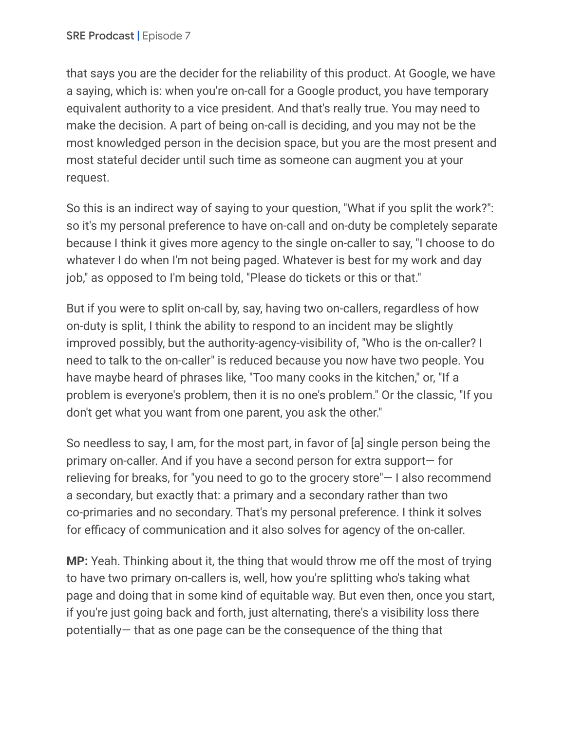that says you are the decider for the reliability of this product. At Google, we have a saying, which is: when you're on-call for a Google product, you have temporary equivalent authority to a vice president. And that's really true. You may need to make the decision. A part of being on-call is deciding, and you may not be the most knowledged person in the decision space, but you are the most present and most stateful decider until such time as someone can augment you at your request.

So this is an indirect way of saying to your question, "What if you split the work?": so it's my personal preference to have on-call and on-duty be completely separate because I think it gives more agency to the single on-caller to say, "I choose to do whatever I do when I'm not being paged. Whatever is best for my work and day job," as opposed to I'm being told, "Please do tickets or this or that."

But if you were to split on-call by, say, having two on-callers, regardless of how on-duty is split, I think the ability to respond to an incident may be slightly improved possibly, but the authority-agency-visibility of, "Who is the on-caller? I need to talk to the on-caller" is reduced because you now have two people. You have maybe heard of phrases like, "Too many cooks in the kitchen," or, "If a problem is everyone's problem, then it is no one's problem." Or the classic, "If you don't get what you want from one parent, you ask the other."

So needless to say, I am, for the most part, in favor of [a] single person being the primary on-caller. And if you have a second person for extra support— for relieving for breaks, for "you need to go to the grocery store"— I also recommend a secondary, but exactly that: a primary and a secondary rather than two co-primaries and no secondary. That's my personal preference. I think it solves for efficacy of communication and it also solves for agency of the on-caller.

**MP:** Yeah. Thinking about it, the thing that would throw me off the most of trying to have two primary on-callers is, well, how you're splitting who's taking what page and doing that in some kind of equitable way. But even then, once you start, if you're just going back and forth, just alternating, there's a visibility loss there potentially— that as one page can be the consequence of the thing that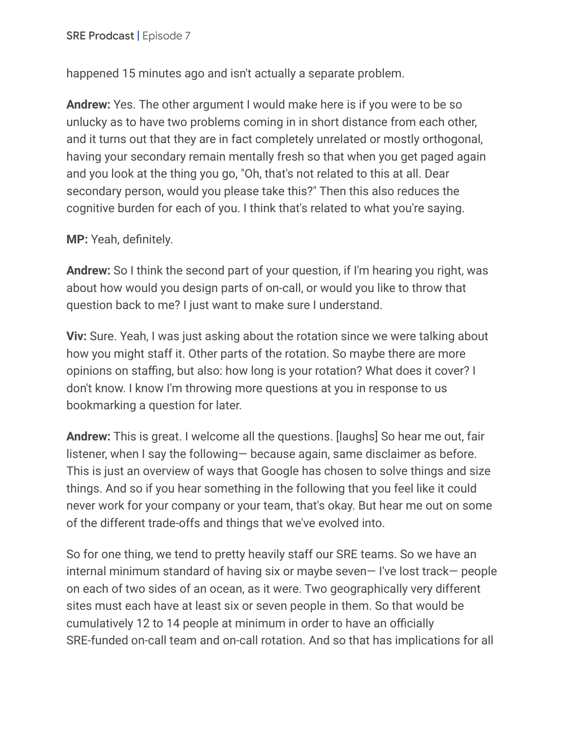happened 15 minutes ago and isn't actually a separate problem.

**Andrew:** Yes. The other argument I would make here is if you were to be so unlucky as to have two problems coming in in short distance from each other, and it turns out that they are in fact completely unrelated or mostly orthogonal, having your secondary remain mentally fresh so that when you get paged again and you look at the thing you go, "Oh, that's not related to this at all. Dear secondary person, would you please take this?" Then this also reduces the cognitive burden for each of you. I think that's related to what you're saying.

**MP:** Yeah, definitely.

**Andrew:** So I think the second part of your question, if I'm hearing you right, was about how would you design parts of on-call, or would you like to throw that question back to me? I just want to make sure I understand.

**Viv:** Sure. Yeah, I was just asking about the rotation since we were talking about how you might staff it. Other parts of the rotation. So maybe there are more opinions on staffing, but also: how long is your rotation? What does it cover? I don't know. I know I'm throwing more questions at you in response to us bookmarking a question for later.

**Andrew:** This is great. I welcome all the questions. [laughs] So hear me out, fair listener, when I say the following— because again, same disclaimer as before. This is just an overview of ways that Google has chosen to solve things and size things. And so if you hear something in the following that you feel like it could never work for your company or your team, that's okay. But hear me out on some of the different trade-offs and things that we've evolved into.

So for one thing, we tend to pretty heavily staff our SRE teams. So we have an internal minimum standard of having six or maybe seven— I've lost track— people on each of two sides of an ocean, as it were. Two geographically very different sites must each have at least six or seven people in them. So that would be cumulatively 12 to 14 people at minimum in order to have an officially SRE-funded on-call team and on-call rotation. And so that has implications for all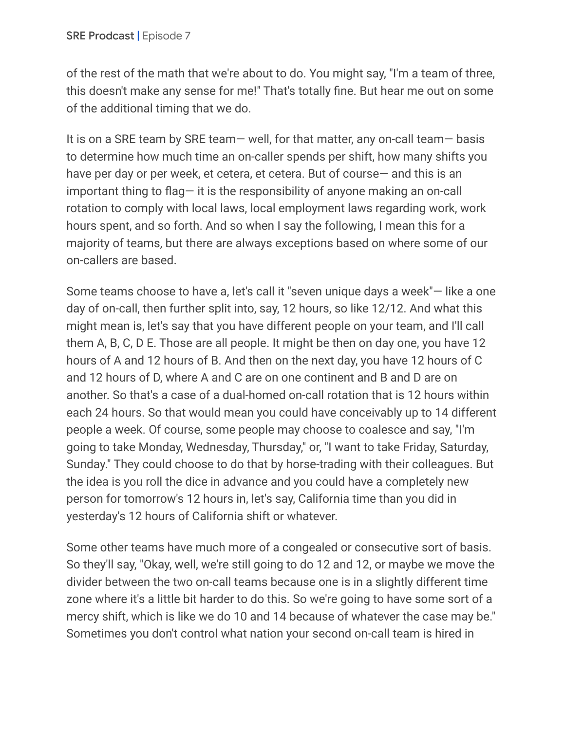of the rest of the math that we're about to do. You might say, "I'm a team of three, this doesn't make any sense for me!" That's totally fine. But hear me out on some of the additional timing that we do.

It is on a SRE team by SRE team— well, for that matter, any on-call team— basis to determine how much time an on-caller spends per shift, how many shifts you have per day or per week, et cetera, et cetera. But of course— and this is an important thing to flag— it is the responsibility of anyone making an on-call rotation to comply with local laws, local employment laws regarding work, work hours spent, and so forth. And so when I say the following, I mean this for a majority of teams, but there are always exceptions based on where some of our on-callers are based.

Some teams choose to have a, let's call it "seven unique days a week"— like a one day of on-call, then further split into, say, 12 hours, so like 12/12. And what this might mean is, let's say that you have different people on your team, and I'll call them A, B, C, D E. Those are all people. It might be then on day one, you have 12 hours of A and 12 hours of B. And then on the next day, you have 12 hours of C and 12 hours of D, where A and C are on one continent and B and D are on another. So that's a case of a dual-homed on-call rotation that is 12 hours within each 24 hours. So that would mean you could have conceivably up to 14 different people a week. Of course, some people may choose to coalesce and say, "I'm going to take Monday, Wednesday, Thursday," or, "I want to take Friday, Saturday, Sunday." They could choose to do that by horse-trading with their colleagues. But the idea is you roll the dice in advance and you could have a completely new person for tomorrow's 12 hours in, let's say, California time than you did in yesterday's 12 hours of California shift or whatever.

Some other teams have much more of a congealed or consecutive sort of basis. So they'll say, "Okay, well, we're still going to do 12 and 12, or maybe we move the divider between the two on-call teams because one is in a slightly different time zone where it's a little bit harder to do this. So we're going to have some sort of a mercy shift, which is like we do 10 and 14 because of whatever the case may be." Sometimes you don't control what nation your second on-call team is hired in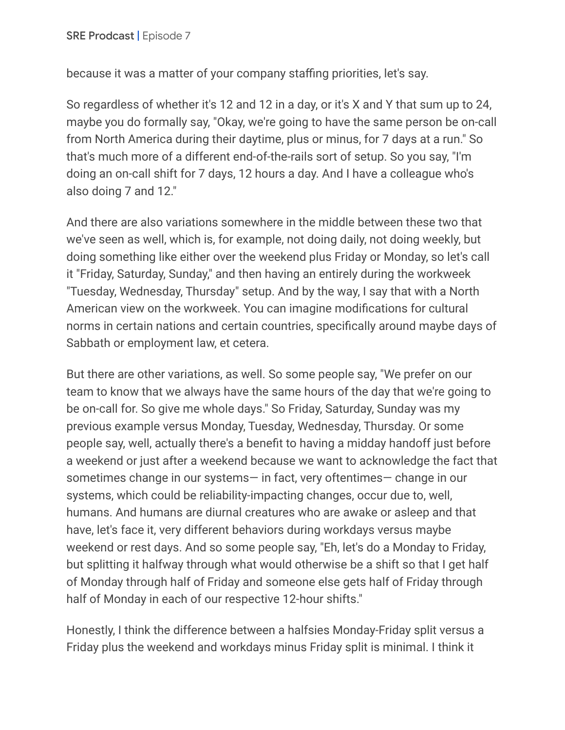because it was a matter of your company staffing priorities, let's say.

So regardless of whether it's 12 and 12 in a day, or it's X and Y that sum up to 24, maybe you do formally say, "Okay, we're going to have the same person be on-call from North America during their daytime, plus or minus, for 7 days at a run." So that's much more of a different end-of-the-rails sort of setup. So you say, "I'm doing an on-call shift for 7 days, 12 hours a day. And I have a colleague who's also doing 7 and 12."

And there are also variations somewhere in the middle between these two that we've seen as well, which is, for example, not doing daily, not doing weekly, but doing something like either over the weekend plus Friday or Monday, so let's call it "Friday, Saturday, Sunday," and then having an entirely during the workweek "Tuesday, Wednesday, Thursday" setup. And by the way, I say that with a North American view on the workweek. You can imagine modifications for cultural norms in certain nations and certain countries, specifically around maybe days of Sabbath or employment law, et cetera.

But there are other variations, as well. So some people say, "We prefer on our team to know that we always have the same hours of the day that we're going to be on-call for. So give me whole days." So Friday, Saturday, Sunday was my previous example versus Monday, Tuesday, Wednesday, Thursday. Or some people say, well, actually there's a benefit to having a midday handoff just before a weekend or just after a weekend because we want to acknowledge the fact that sometimes change in our systems— in fact, very oftentimes— change in our systems, which could be reliability-impacting changes, occur due to, well, humans. And humans are diurnal creatures who are awake or asleep and that have, let's face it, very different behaviors during workdays versus maybe weekend or rest days. And so some people say, "Eh, let's do a Monday to Friday, but splitting it halfway through what would otherwise be a shift so that I get half of Monday through half of Friday and someone else gets half of Friday through half of Monday in each of our respective 12-hour shifts."

Honestly, I think the difference between a halfsies Monday-Friday split versus a Friday plus the weekend and workdays minus Friday split is minimal. I think it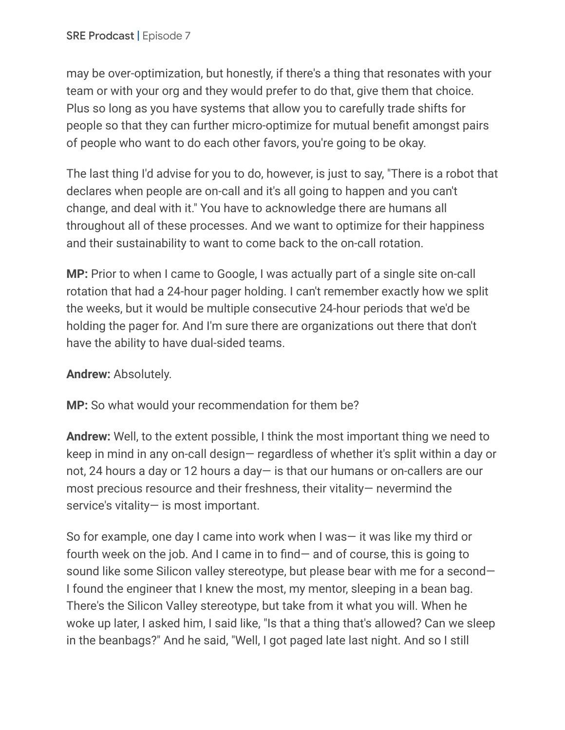may be over-optimization, but honestly, if there's a thing that resonates with your team or with your org and they would prefer to do that, give them that choice. Plus so long as you have systems that allow you to carefully trade shifts for people so that they can further micro-optimize for mutual benefit amongst pairs of people who want to do each other favors, you're going to be okay.

The last thing I'd advise for you to do, however, is just to say, "There is a robot that declares when people are on-call and it's all going to happen and you can't change, and deal with it." You have to acknowledge there are humans all throughout all of these processes. And we want to optimize for their happiness and their sustainability to want to come back to the on-call rotation.

**MP:** Prior to when I came to Google, I was actually part of a single site on-call rotation that had a 24-hour pager holding. I can't remember exactly how we split the weeks, but it would be multiple consecutive 24-hour periods that we'd be holding the pager for. And I'm sure there are organizations out there that don't have the ability to have dual-sided teams.

## **Andrew:** Absolutely.

**MP:** So what would your recommendation for them be?

**Andrew:** Well, to the extent possible, I think the most important thing we need to keep in mind in any on-call design— regardless of whether it's split within a day or not, 24 hours a day or 12 hours a day— is that our humans or on-callers are our most precious resource and their freshness, their vitality— nevermind the service's vitality— is most important.

So for example, one day I came into work when I was— it was like my third or fourth week on the job. And I came in to find— and of course, this is going to sound like some Silicon valley stereotype, but please bear with me for a second— I found the engineer that I knew the most, my mentor, sleeping in a bean bag. There's the Silicon Valley stereotype, but take from it what you will. When he woke up later, I asked him, I said like, "Is that a thing that's allowed? Can we sleep in the beanbags?" And he said, "Well, I got paged late last night. And so I still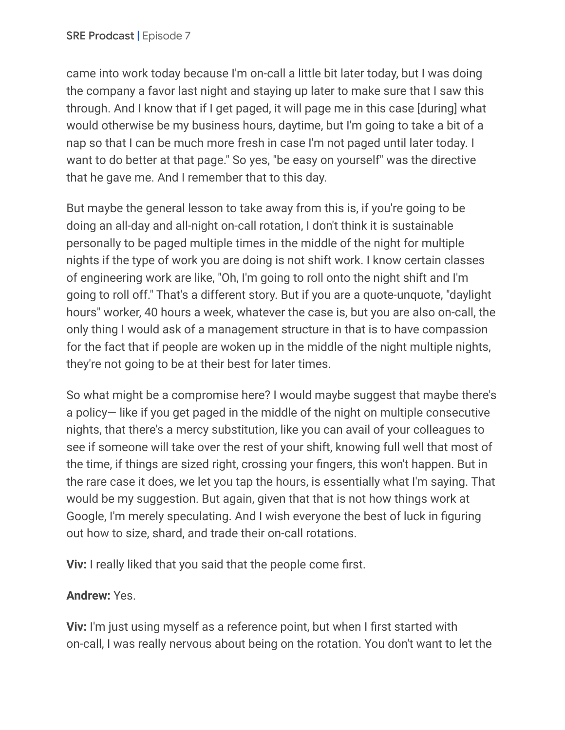came into work today because I'm on-call a little bit later today, but I was doing the company a favor last night and staying up later to make sure that I saw this through. And I know that if I get paged, it will page me in this case [during] what would otherwise be my business hours, daytime, but I'm going to take a bit of a nap so that I can be much more fresh in case I'm not paged until later today. I want to do better at that page." So yes, "be easy on yourself" was the directive that he gave me. And I remember that to this day.

But maybe the general lesson to take away from this is, if you're going to be doing an all-day and all-night on-call rotation, I don't think it is sustainable personally to be paged multiple times in the middle of the night for multiple nights if the type of work you are doing is not shift work. I know certain classes of engineering work are like, "Oh, I'm going to roll onto the night shift and I'm going to roll off." That's a different story. But if you are a quote-unquote, "daylight hours" worker, 40 hours a week, whatever the case is, but you are also on-call, the only thing I would ask of a management structure in that is to have compassion for the fact that if people are woken up in the middle of the night multiple nights, they're not going to be at their best for later times.

So what might be a compromise here? I would maybe suggest that maybe there's a policy— like if you get paged in the middle of the night on multiple consecutive nights, that there's a mercy substitution, like you can avail of your colleagues to see if someone will take over the rest of your shift, knowing full well that most of the time, if things are sized right, crossing your fingers, this won't happen. But in the rare case it does, we let you tap the hours, is essentially what I'm saying. That would be my suggestion. But again, given that that is not how things work at Google, I'm merely speculating. And I wish everyone the best of luck in figuring out how to size, shard, and trade their on-call rotations.

**Viv:** I really liked that you said that the people come first.

## **Andrew:** Yes.

**Viv:** I'm just using myself as a reference point, but when I first started with on-call, I was really nervous about being on the rotation. You don't want to let the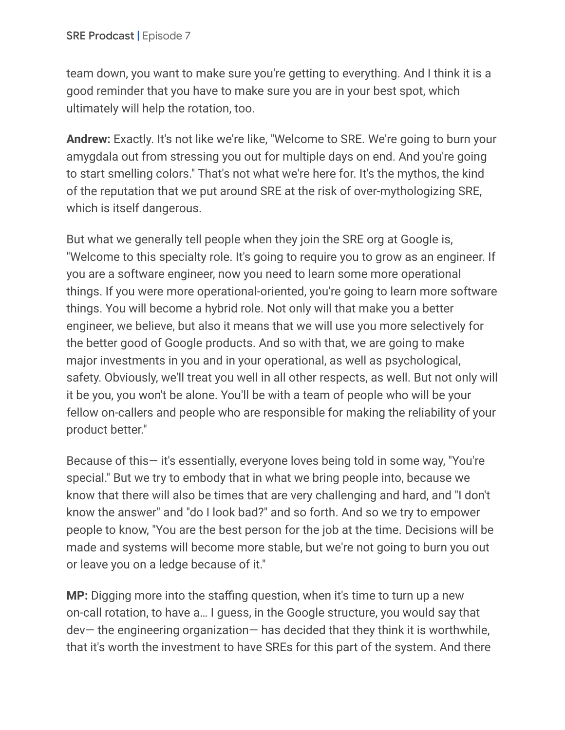team down, you want to make sure you're getting to everything. And I think it is a good reminder that you have to make sure you are in your best spot, which ultimately will help the rotation, too.

**Andrew:** Exactly. It's not like we're like, "Welcome to SRE. We're going to burn your amygdala out from stressing you out for multiple days on end. And you're going to start smelling colors." That's not what we're here for. It's the mythos, the kind of the reputation that we put around SRE at the risk of over-mythologizing SRE, which is itself dangerous.

But what we generally tell people when they join the SRE org at Google is, "Welcome to this specialty role. It's going to require you to grow as an engineer. If you are a software engineer, now you need to learn some more operational things. If you were more operational-oriented, you're going to learn more software things. You will become a hybrid role. Not only will that make you a better engineer, we believe, but also it means that we will use you more selectively for the better good of Google products. And so with that, we are going to make major investments in you and in your operational, as well as psychological, safety. Obviously, we'll treat you well in all other respects, as well. But not only will it be you, you won't be alone. You'll be with a team of people who will be your fellow on-callers and people who are responsible for making the reliability of your product better."

Because of this— it's essentially, everyone loves being told in some way, "You're special." But we try to embody that in what we bring people into, because we know that there will also be times that are very challenging and hard, and "I don't know the answer" and "do I look bad?" and so forth. And so we try to empower people to know, "You are the best person for the job at the time. Decisions will be made and systems will become more stable, but we're not going to burn you out or leave you on a ledge because of it."

**MP:** Digging more into the staffing question, when it's time to turn up a new on-call rotation, to have a… I guess, in the Google structure, you would say that dev— the engineering organization— has decided that they think it is worthwhile, that it's worth the investment to have SREs for this part of the system. And there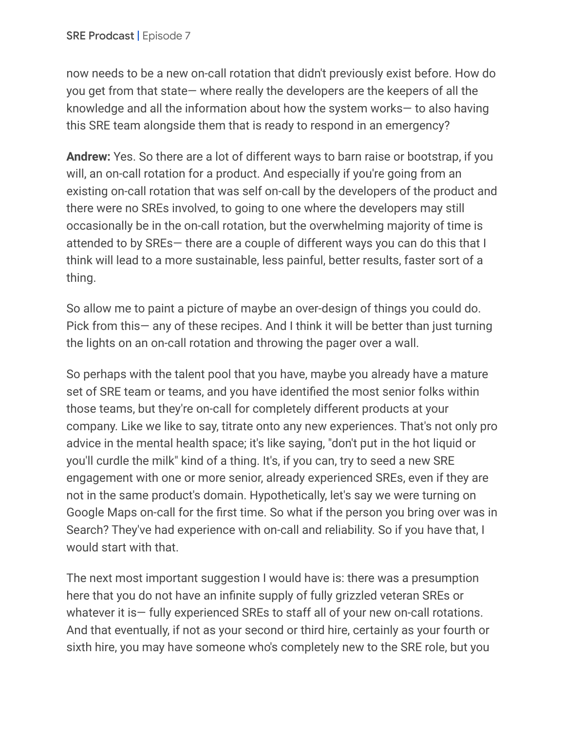now needs to be a new on-call rotation that didn't previously exist before. How do you get from that state— where really the developers are the keepers of all the knowledge and all the information about how the system works— to also having this SRE team alongside them that is ready to respond in an emergency?

**Andrew:** Yes. So there are a lot of different ways to barn raise or bootstrap, if you will, an on-call rotation for a product. And especially if you're going from an existing on-call rotation that was self on-call by the developers of the product and there were no SREs involved, to going to one where the developers may still occasionally be in the on-call rotation, but the overwhelming majority of time is attended to by SREs— there are a couple of different ways you can do this that I think will lead to a more sustainable, less painful, better results, faster sort of a thing.

So allow me to paint a picture of maybe an over-design of things you could do. Pick from this— any of these recipes. And I think it will be better than just turning the lights on an on-call rotation and throwing the pager over a wall.

So perhaps with the talent pool that you have, maybe you already have a mature set of SRE team or teams, and you have identified the most senior folks within those teams, but they're on-call for completely different products at your company. Like we like to say, titrate onto any new experiences. That's not only pro advice in the mental health space; it's like saying, "don't put in the hot liquid or you'll curdle the milk" kind of a thing. It's, if you can, try to seed a new SRE engagement with one or more senior, already experienced SREs, even if they are not in the same product's domain. Hypothetically, let's say we were turning on Google Maps on-call for the first time. So what if the person you bring over was in Search? They've had experience with on-call and reliability. So if you have that, I would start with that.

The next most important suggestion I would have is: there was a presumption here that you do not have an infinite supply of fully grizzled veteran SREs or whatever it is— fully experienced SREs to staff all of your new on-call rotations. And that eventually, if not as your second or third hire, certainly as your fourth or sixth hire, you may have someone who's completely new to the SRE role, but you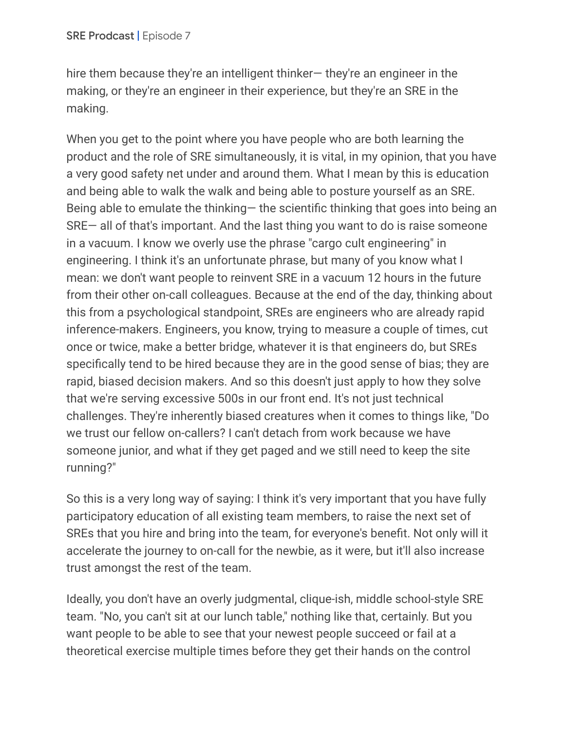hire them because they're an intelligent thinker— they're an engineer in the making, or they're an engineer in their experience, but they're an SRE in the making.

When you get to the point where you have people who are both learning the product and the role of SRE simultaneously, it is vital, in my opinion, that you have a very good safety net under and around them. What I mean by this is education and being able to walk the walk and being able to posture yourself as an SRE. Being able to emulate the thinking— the scientific thinking that goes into being an SRE— all of that's important. And the last thing you want to do is raise someone in a vacuum. I know we overly use the phrase "cargo cult engineering" in engineering. I think it's an unfortunate phrase, but many of you know what I mean: we don't want people to reinvent SRE in a vacuum 12 hours in the future from their other on-call colleagues. Because at the end of the day, thinking about this from a psychological standpoint, SREs are engineers who are already rapid inference-makers. Engineers, you know, trying to measure a couple of times, cut once or twice, make a better bridge, whatever it is that engineers do, but SREs specifically tend to be hired because they are in the good sense of bias; they are rapid, biased decision makers. And so this doesn't just apply to how they solve that we're serving excessive 500s in our front end. It's not just technical challenges. They're inherently biased creatures when it comes to things like, "Do we trust our fellow on-callers? I can't detach from work because we have someone junior, and what if they get paged and we still need to keep the site running?"

So this is a very long way of saying: I think it's very important that you have fully participatory education of all existing team members, to raise the next set of SREs that you hire and bring into the team, for everyone's benefit. Not only will it accelerate the journey to on-call for the newbie, as it were, but it'll also increase trust amongst the rest of the team.

Ideally, you don't have an overly judgmental, clique-ish, middle school-style SRE team. "No, you can't sit at our lunch table," nothing like that, certainly. But you want people to be able to see that your newest people succeed or fail at a theoretical exercise multiple times before they get their hands on the control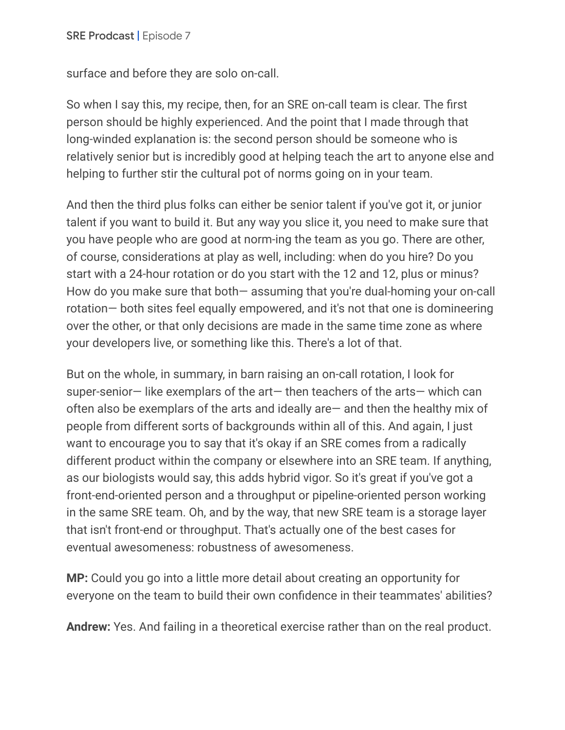surface and before they are solo on-call.

So when I say this, my recipe, then, for an SRE on-call team is clear. The first person should be highly experienced. And the point that I made through that long-winded explanation is: the second person should be someone who is relatively senior but is incredibly good at helping teach the art to anyone else and helping to further stir the cultural pot of norms going on in your team.

And then the third plus folks can either be senior talent if you've got it, or junior talent if you want to build it. But any way you slice it, you need to make sure that you have people who are good at norm-ing the team as you go. There are other, of course, considerations at play as well, including: when do you hire? Do you start with a 24-hour rotation or do you start with the 12 and 12, plus or minus? How do you make sure that both— assuming that you're dual-homing your on-call rotation— both sites feel equally empowered, and it's not that one is domineering over the other, or that only decisions are made in the same time zone as where your developers live, or something like this. There's a lot of that.

But on the whole, in summary, in barn raising an on-call rotation, I look for super-senior— like exemplars of the art— then teachers of the arts— which can often also be exemplars of the arts and ideally are— and then the healthy mix of people from different sorts of backgrounds within all of this. And again, I just want to encourage you to say that it's okay if an SRE comes from a radically different product within the company or elsewhere into an SRE team. If anything, as our biologists would say, this adds hybrid vigor. So it's great if you've got a front-end-oriented person and a throughput or pipeline-oriented person working in the same SRE team. Oh, and by the way, that new SRE team is a storage layer that isn't front-end or throughput. That's actually one of the best cases for eventual awesomeness: robustness of awesomeness.

**MP:** Could you go into a little more detail about creating an opportunity for everyone on the team to build their own confidence in their teammates' abilities?

**Andrew:** Yes. And failing in a theoretical exercise rather than on the real product.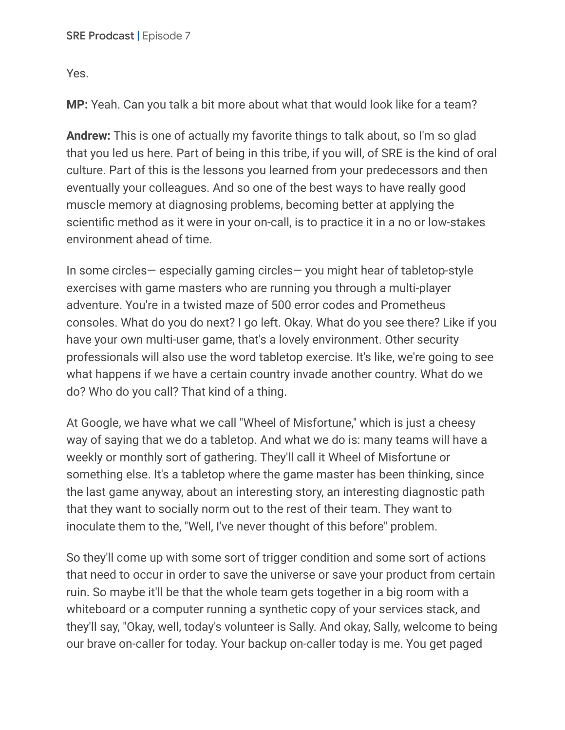Yes.

**MP:** Yeah. Can you talk a bit more about what that would look like for a team?

**Andrew:** This is one of actually my favorite things to talk about, so I'm so glad that you led us here. Part of being in this tribe, if you will, of SRE is the kind of oral culture. Part of this is the lessons you learned from your predecessors and then eventually your colleagues. And so one of the best ways to have really good muscle memory at diagnosing problems, becoming better at applying the scientific method as it were in your on-call, is to practice it in a no or low-stakes environment ahead of time.

In some circles— especially gaming circles— you might hear of tabletop-style exercises with game masters who are running you through a multi-player adventure. You're in a twisted maze of 500 error codes and Prometheus consoles. What do you do next? I go left. Okay. What do you see there? Like if you have your own multi-user game, that's a lovely environment. Other security professionals will also use the word tabletop exercise. It's like, we're going to see what happens if we have a certain country invade another country. What do we do? Who do you call? That kind of a thing.

At Google, we have what we call "Wheel of Misfortune," which is just a cheesy way of saying that we do a tabletop. And what we do is: many teams will have a weekly or monthly sort of gathering. They'll call it Wheel of Misfortune or something else. It's a tabletop where the game master has been thinking, since the last game anyway, about an interesting story, an interesting diagnostic path that they want to socially norm out to the rest of their team. They want to inoculate them to the, "Well, I've never thought of this before" problem.

So they'll come up with some sort of trigger condition and some sort of actions that need to occur in order to save the universe or save your product from certain ruin. So maybe it'll be that the whole team gets together in a big room with a whiteboard or a computer running a synthetic copy of your services stack, and they'll say, "Okay, well, today's volunteer is Sally. And okay, Sally, welcome to being our brave on-caller for today. Your backup on-caller today is me. You get paged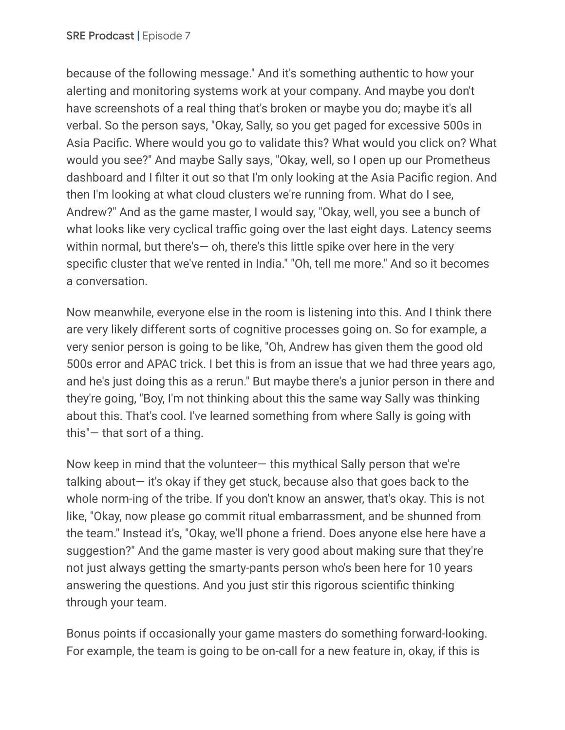because of the following message." And it's something authentic to how your alerting and monitoring systems work at your company. And maybe you don't have screenshots of a real thing that's broken or maybe you do; maybe it's all verbal. So the person says, "Okay, Sally, so you get paged for excessive 500s in Asia Pacific. Where would you go to validate this? What would you click on? What would you see?" And maybe Sally says, "Okay, well, so I open up our Prometheus dashboard and I filter it out so that I'm only looking at the Asia Pacific region. And then I'm looking at what cloud clusters we're running from. What do I see, Andrew?" And as the game master, I would say, "Okay, well, you see a bunch of what looks like very cyclical traffic going over the last eight days. Latency seems within normal, but there's - oh, there's this little spike over here in the very specific cluster that we've rented in India." "Oh, tell me more." And so it becomes a conversation.

Now meanwhile, everyone else in the room is listening into this. And I think there are very likely different sorts of cognitive processes going on. So for example, a very senior person is going to be like, "Oh, Andrew has given them the good old 500s error and APAC trick. I bet this is from an issue that we had three years ago, and he's just doing this as a rerun." But maybe there's a junior person in there and they're going, "Boy, I'm not thinking about this the same way Sally was thinking about this. That's cool. I've learned something from where Sally is going with this"— that sort of a thing.

Now keep in mind that the volunteer— this mythical Sally person that we're talking about— it's okay if they get stuck, because also that goes back to the whole norm-ing of the tribe. If you don't know an answer, that's okay. This is not like, "Okay, now please go commit ritual embarrassment, and be shunned from the team." Instead it's, "Okay, we'll phone a friend. Does anyone else here have a suggestion?" And the game master is very good about making sure that they're not just always getting the smarty-pants person who's been here for 10 years answering the questions. And you just stir this rigorous scientific thinking through your team.

Bonus points if occasionally your game masters do something forward-looking. For example, the team is going to be on-call for a new feature in, okay, if this is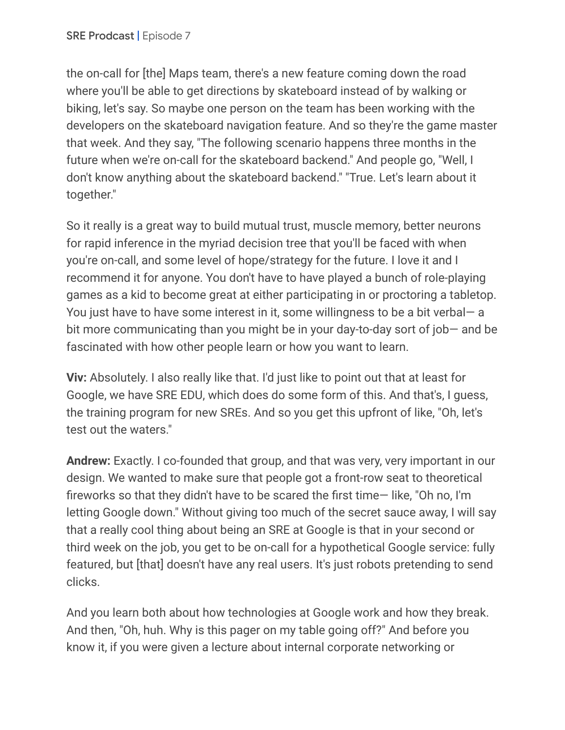the on-call for [the] Maps team, there's a new feature coming down the road where you'll be able to get directions by skateboard instead of by walking or biking, let's say. So maybe one person on the team has been working with the developers on the skateboard navigation feature. And so they're the game master that week. And they say, "The following scenario happens three months in the future when we're on-call for the skateboard backend." And people go, "Well, I don't know anything about the skateboard backend." "True. Let's learn about it together."

So it really is a great way to build mutual trust, muscle memory, better neurons for rapid inference in the myriad decision tree that you'll be faced with when you're on-call, and some level of hope/strategy for the future. I love it and I recommend it for anyone. You don't have to have played a bunch of role-playing games as a kid to become great at either participating in or proctoring a tabletop. You just have to have some interest in it, some willingness to be a bit verbal— a bit more communicating than you might be in your day-to-day sort of job— and be fascinated with how other people learn or how you want to learn.

**Viv:** Absolutely. I also really like that. I'd just like to point out that at least for Google, we have SRE EDU, which does do some form of this. And that's, I guess, the training program for new SREs. And so you get this upfront of like, "Oh, let's test out the waters."

**Andrew:** Exactly. I co-founded that group, and that was very, very important in our design. We wanted to make sure that people got a front-row seat to theoretical fireworks so that they didn't have to be scared the first time— like, "Oh no, I'm letting Google down." Without giving too much of the secret sauce away, I will say that a really cool thing about being an SRE at Google is that in your second or third week on the job, you get to be on-call for a hypothetical Google service: fully featured, but [that] doesn't have any real users. It's just robots pretending to send clicks.

And you learn both about how technologies at Google work and how they break. And then, "Oh, huh. Why is this pager on my table going off?" And before you know it, if you were given a lecture about internal corporate networking or